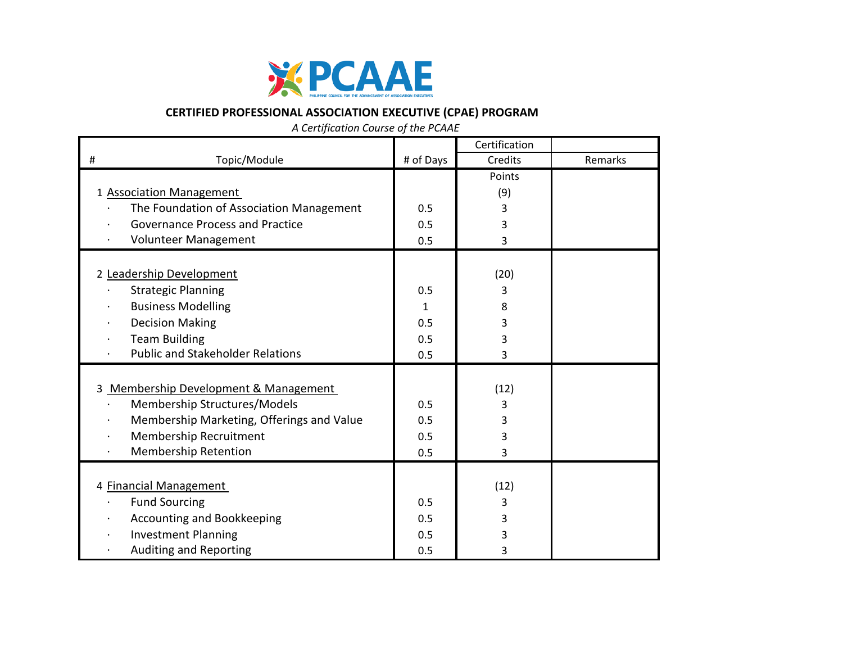

## **CERTIFIED PROFESSIONAL ASSOCIATION EXECUTIVE (CPAE) PROGRAM**

 *A Certification Course of the PCAAE*

|                                           |              | Certification |         |
|-------------------------------------------|--------------|---------------|---------|
| Topic/Module<br>#                         | # of Days    | Credits       | Remarks |
|                                           |              | Points        |         |
| 1 Association Management                  |              | (9)           |         |
| The Foundation of Association Management  | 0.5          | 3             |         |
| <b>Governance Process and Practice</b>    | 0.5          | 3             |         |
| Volunteer Management                      | 0.5          | 3             |         |
|                                           |              |               |         |
| 2 Leadership Development                  |              | (20)          |         |
| <b>Strategic Planning</b>                 | 0.5          | 3             |         |
| <b>Business Modelling</b>                 | $\mathbf{1}$ | 8             |         |
| <b>Decision Making</b>                    | 0.5          | 3             |         |
| <b>Team Building</b>                      | 0.5          | 3             |         |
| <b>Public and Stakeholder Relations</b>   | 0.5          | 3             |         |
|                                           |              |               |         |
| 3 Membership Development & Management     |              | (12)          |         |
| Membership Structures/Models              | 0.5          | 3             |         |
| Membership Marketing, Offerings and Value | 0.5          | 3             |         |
| Membership Recruitment                    | 0.5          | 3             |         |
| <b>Membership Retention</b>               | 0.5          | 3             |         |
|                                           |              |               |         |
| 4 Financial Management                    |              | (12)          |         |
| <b>Fund Sourcing</b>                      | 0.5          | 3             |         |
| Accounting and Bookkeeping                | 0.5          | 3             |         |
| <b>Investment Planning</b>                | 0.5          | 3             |         |
| Auditing and Reporting                    | 0.5          | 3             |         |